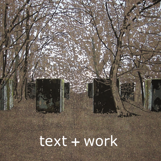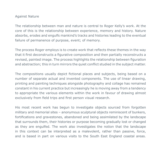### Against Nature

The relationship between man and nature is central to Roger Kelly's work. At the core of this is the relationship between experience, memory and history. Nature absorbs, erodes and engulfs mankind's tracks and histories leading to the eventual failure of permanence of purpose, event; of memory.

The process Roger employs is to create work that reflects these themes in the way that it first deconstructs a figurative composition and then partially reconstructs a revised, painted image. The process highlights the relationship between figuration and abstraction; this in turn mirrors the quiet conflict studied in the subject matter.

The compositions usually depict fictional places and subjects, being based on a number of separate actual and invented components. The use of linear drawing, printing and painting techniques alongside photography and collage has remained constant in his current practice but increasingly he is moving away from a tendency to appropriate the various elements within the work in favour of drawing almost exclusively from field trips and first person visual research.

His most recent work has begun to investigate objects sourced from forgotten military and memorial sites – anonymous sculptural objects reminiscent of bunkers, fortifications and gravestones, abandoned and being assimilated by the landscape that surrounds them, their histories or purpose becoming gradually lost or changed as they are engulfed. The work also investigates the notion that the landscape in this context can be interpreted as a malevolent, rather than passive, force, and is based in part on various visits to the South East England coastal areas.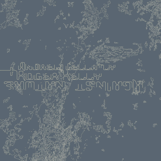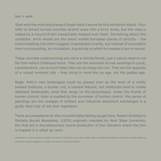text + work

Start with the most disturbing of Roger Kelly's works for this exhibition island – four rafts of almost buried concrete stretch away into a birch wood, but the vista is halted by a mound of dirt inexplicably heaped over them. Something about this unsettles: birch woods are the silent middle European places of atrocity – the tracks heading into them suggest unspeakable events, but instead of excavation here is a mounding, an inundation. A good set on which to remake a horror movie.

These concrete underpinnings are not in a remote forest, just a nature reserve not far from Kelly's childhood home. They are the remnants of coal workings in Lount, Leicestershire, not so much fallen into ruin as rising into ruin. They are the opposite of a ruined romantic site – they bring to mind the ice age, not the golden age.

Roger Kelly's new landscapes could be passed over as the work of a mildly twisted hobbyist, a bunker nut, a cement fabulist, but hobbyists tend to create idealised landscapes, ones that verge on the picturesque, under the thumb of human control. Kelly is exalted by the surrender of human control: this series of paintings are the vestiges of military and industrial adventure submerged in a guilty litter tray of soil and vegetation.

There are precedents for the uncomfortable feeling we get here, Robert Smithson's Partially Buried Woodshed, (1970) originally intended for Kent State University, the final act in Glyndebourne's recent production of Don Giovanni where the Don is trapped in a silted up room.

Mike Nelson's recent exhibition at Modern Art Oxford, Triple Bluff Canyon (May 2004), offered a politicised rereading of Smithson's already politicised woodshed perhaps suggesting a zeitgeist movement towards inundation.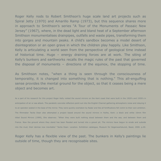Roger Kelly nods to Robert Smithson's huge scale land art projects such as Spiral Jetty (1970) and Amarillo Ramp (1973), but this sequence shares more in approach to Smithson's series "A Tour of the Monuments of Passaic New Jersey" (1967), where, in the dead light and bland heat of a September afternoon Smithson monumentalises drainpipes, outfalls and waste pipes, transforming them into gorges and mountain peaks. A child's sandbox becomes a model desert of disintegration or an open grave in which the children play happily. Like Smithson, Kelly is articulating a world seen from the perspective of geological time instead of historical time. Huge – energy draining forces are at work. The siting of Kelly's bunkers and earthworks recalls the magic rules of the past that governed the disposal of monuments – directions of the equinox, the stopping of time.

As Smithson notes, "when a thing is seen through the consciousness of temporality, it is changed into something that is nothing." This all-engulfing sense provides the mental ground for the object, so that it ceases being a mere object and becomes art.

As a part of his research for this project Roger Kelly visited the sound mirrors on the Kent coast that were built in the 1920's and 1930's in anticipation of air or sea attack. The parabolic concrete reflectors point out into the English Channel gathering atmospheric noise and relaying it to an operator seated in the base of the mirror. They were quickly overtaken by Radar and like all fortifications fell victim to their own ambition. The filmmaker Tacita Dean also attempted a project based around the sound mirrors in Hythe, Kent: a black and white 16mm film titled Sound Mirrors (1999), She observes: "When they were built nothing stood between them and the sea; and between them and France. Now the ground where they stand has been flooded and turned into a gravel pit. The mirrors have begun to erode and subside into the mud; their demise now inevitable." Tacita Dean: Location. Exhibition catalogue, Museum für Gegenwartskunst, Basel, 2000. p.40.

Roger Kelly has a flexible view of the past. The bunkers in Kelly's paintings lie outside of time, though they are recognisable sites.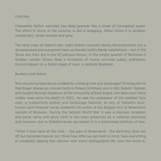#### Concrete

Frequently Kelly's concrete has deep grooves like a sheet of corrugated paper. The effect in some of the pictures is like a wrapping. Other times it is striated, verdigrised, rarely smooth and grey.

The tank traps at Potter's Bar, eight doleful concrete blocks Reconstruction are a domesticated and overgrown take on Donald Judd's Marfa installations – but in the Texas sun they are a row of lustrous blocks; in the empty quarter of Nicholson's Greater London Street Atlas a formation of mossy concrete cubes, prehistoric blocks trapped on a forest stage of mud, a pastoral Baghdad.

## Bunkers and failure

Why should bunkers be so suitable for colliding time and landscape? It intrigued me that Roger shares an interest both in Robert Smithson and in WG Sebald. Sebald, who taught German literature at the University of East Anglia, has been ever more widely read since his death in 2001. He was the possessor of the saddest face ever, a melancholy walker and landscape fabulist. In one of Sebald's bestknown semi-fictional works Austerlitz he writes of the Belgian fort at Breendonk outside of Brussels. During the Second World War it was a German reception and penal camp and since 1947 it has been preserved as a national memorial and museum, but in Sebald's acute perception it is a bottomless sinkhole of loss.

"When I look back at the crab – like plan of Breendonk… the darkness does not lift but becomes heavier as I think how little we can hold in mind, how everything is constantly lapsing into oblivion with every extinguished life, how the world is,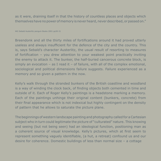as it were, draining itself in that the history of countless places and objects which themselves have no power of memory is never heard, never described, or passed on."

WG Sebald Austerlitz penguin Books 2001 pp30-31

Breendonk and all the thirty miles of fortifications around it had proved utterly useless and always insufficient for the defence of the city and the country. This is, says Sebald's character Austerlitz, the usual result of resorting to measures of fortification – you drew attention to your weakest point practically inviting the enemy to attack it. The bunker, the half-buried cancerous concrete block, is simply an evocation – as I read it – of failure, with all of the complex emotional, sociological and political dimensions failure suggests. Failure experienced as a memory and so given a pattern in the now.

Kelly's walk through the stranded bunkers of the British coastline and woodland is a way of winding the clock back, of finding objects both cemented in time and outside of it. Each of Roger Kelly's paintings is a headstone marking a memory. Each of the paintings unhinge their original content (bunkers, concrete) from their final appearance which is not indexical but highly contingent on the density of pattern that he allows to saturate the picture plane.

The beginnings of western landscape painting and photography called for a Cartesian subject who in turn could legitimate the picture of "culturated" nature. This knowing and seeing (but not being seen) had an ideological function, positioning man as a coherent source of visual knowledge. Kelly's pictures, which at first seem to represent something vaguely identifiable, (a hut, a retreat) confound us and our desire for coherence. Domestic buildings of less than normal size – a cottage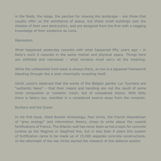in the fields, the lodge, the pavilion for viewing the landscape – are those that usually offer us the semblance of peace, but these small buildings cast the shadow of their own destruction, and are designed from the first with a nagging knowledge of their existence as ruins.

#### Repression

What happened yesterday coexists with what happened fifty years ago – in Kelly's work it coexists in the same mental and physical space. Things here are withheld and repressed – what remains must carry all the meaning.

While the unbleached linen base is always there, so too is a jigsawed framework bleeding through like a stain chemically revealing itself.

Ulrich Loock's observed that the works of the Belgian painter Luc Tuymans are "authentic fakes" – that their means and handling are not the result of some inner compulsion or romantic vision, but of considered choice. With Kelly there is fakery too, manifest in a considered swerve away from the romantic.

#### Bunkers and the Ocean

In his first book, titled Bunker Archeology, Paul Virilio, the French theoretician of "grey ecology" and information theory, chose to write about the coastal fortifications of France. The Atlantic wall has never been as hot a topic for concrete junkies as the Maginot or Siegfried line, but in less than 4 years this system of fortification came to be made up of 15,000 separate concrete constructions. In the aftermath of the war Virilio started the research of this defence system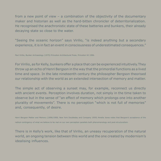from a new point of view – a combination of the objectivity of the documentary maker and historian as well as the hard-bitten chronicler of deterritorialization. He recognised the anachronistic state of these batteries and bunkers, their already decaying state so close to the water.

"Seeing the oceanic horizon" says Virilio, "is indeed anything but a secondary experience, it is in fact an event in consciousness of underestimated consequences."

Paul Virilio, Bunker Archaeology (1975) Princeton Architectural Press, Princeton NJ 1996.

For Virilio, as for Kelly, bunkers offer a place that can be experienced intuitively.They throw up an echo of Henri Bergson in the way that the primordial functions as a lived time and space. In the late nineteenth century the philosopher Bergson theorised our relationship with the world as an extended intersection of memory and matter.

The simple act of observing a sunset may, for example, reconnect us directly with ancient events. Perception involves duration, not simply in the time taken to observe but in the sense of "an effect of memory which prolongs one into another plurality of movements". There is no perception "which is not full of memories" and, consequently, of desire.

Henri Bergson Matter and Memory (1896/1908; New York Doubleday and Company 1959) Amelia Jones notes that Bergson's acceptance of the

radical contingency of what we believe to be real on our own perception parallels both phenomenology and post-structuralism.

There is in Kelly's work, like that of Virilio, an uneasy recuperation of the natural world, an ongoing tension between this world and the one created by modernism's idealising influences.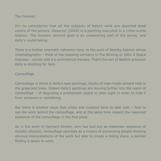## The Forensic

It's no coincidence that all the subjects of Kelly's work are depicted dead centre of the picture. Deserter (2004) is a painting executed in a crime scene fashion. The forensic centred gaze is an unwavering part of the series, and Kelly's undertaking.

There is a further cinematic reference here, to the work of Stanley Kubrick whose cinematography – think of the receding corridors in The Shining or 2001 A Space Odyssey – carries with it a symmetrical menace. That's the sort of deathly precision Kelly is shooting for here.

# **Camouflage**

Camouflage is literal in Kelly's new paintings, blocks of man-made cement hide in the grass and trees. Indeed Kelly's paintings are moving further into the realm of camouflage – of disguising a problematic object in plain sight in order to hide it from someone or something.

But there is another issue that critics and curators have to deal with – how to see the work behind the camouflage, and at the same time respect the reasoned existence of the camouflage in the first place.

As in the work of Gerhard Richter, who has laid out an elaborate sequence of stylistic allusion, camouflage operates as a means of preventing people drawing obvious interpretations of the work but also to create a hiding place, a painter finding a space to work.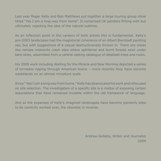Last year Roger Kelly and Bob Matthews put together a large touring group show titled "Yes I am a long way from home". It comprised UK painters flirting with but ultimately rejecting the idea of the natural sublime.

As an inflection point in the careers of both artists this is fundamental. Kelly's pre-2003 landscapes had the magisterial coherence of an Albert Bierstadt painting say, but with suggestions of a casual destructiveness thrown in. There are vistas like remote meteorite crash sites where splintered and burnt forests exist under bare skies, assembled from a central casting catalogue of idealised trees and rocks.

His 2000 work including Waiting for the Miracle and New Morning depicted a series of tornados ripping through American towns – more recently they have become wastelands on an almost miniature scale.

Since " Yes! I am a long way from home." Kelly has downscaled his work and refocused on site selection. The investigation of a specific site is a matter of exposing certain associations that have remained invisible within the old framework of language.

And so the expanses of Kelly's imagined landscapes have become painterly sites to be carefully worked over, the obsolete in reverse.

> Andrew Gellatly, Writer and Journalist 2004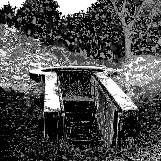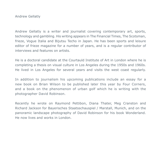Andrew Gellatly

Andrew Gellatly is a writer and journalist covering contemporary art, sports, technology and gambling. His writing appears in The Financial Times, The Scotsman, frieze, Vogue Italia and Bijutsu Techo in Japan. He has been sports and leisure editor of frieze magazine for a number of years, and is a regular contributor of interviews and features on artists.

He is a doctoral candidate at the Courtauld Institute of Art in London where he is completing a thesis on visual culture in Los Angeles during the 1950s and 1960s. He lived in Los Angeles for several years and visits the west coast regularly.

In addition to journalism his upcoming publications include an essay for a new book on Brian Wilson to be published later this year by Four Corners, and a book on the phenomenon of urban golf which he is writing with the photographer David Robinson.

Recently he wrote on Raymond Pettibon, Diana Thater, Meg Cranston and Richard Jackson for Bayerisches Staatsschauspiel / Marstall, Munich, and on the panoramic landscape photography of David Robinson for his book Wonderland. He now lives and works in London.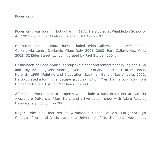Roger Kelly

Roger Kelly was born in Nottingham in 1973. He studied at Wimbledon School of Art 1993 – 96 and at Chelsea College of Art 1996 – 97.

His recent one man shows have included Nylon Gallery, London 2000, 2002; Galleria Alessandro DeMarch, Milan, Italy, 2001, 2003; Rare Gallery, New York, 2002; 32 Elder Street, London, curated by Paul Stolper, 2004.

He has been included in various group exhibitions and competitions in England, USA and Italy, including John Moores, Liverpool, 1998 and 2000; East International, Norwich, 1999; Painting and Illustration, Luckman Gallery, Los Angeles 2002. He co-curated a touring landscape group exhibition, "Yes! I am a Long Way from Home" with the artist Bob Matthews in 2003.

After text+work his next projects will include a solo exhibition at Galleria Alessandro DeMarch, Milan, Italy, and a two person show with Adam Ross at Hales Gallery, London, in 2005.

Roger Kelly also lectures at Wimbledon School of Art, Loughborough College of Art and Design and the University of Northumbria, Newcastle.